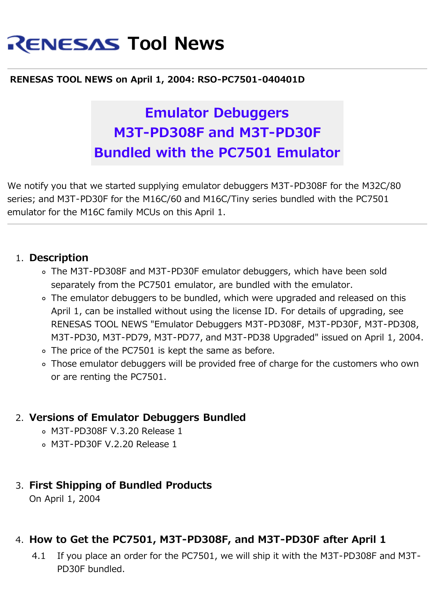# **RENESAS Tool News**

#### **RENESAS TOOL NEWS on April 1, 2004: RSO-PC7501-040401D**

## **Emulator Debuggers M3T-PD308F and M3T-PD30F Bundled with the PC7501 Emulator**

We notify you that we started supplying emulator debuggers M3T-PD308F for the M32C/80 series; and M3T-PD30F for the M16C/60 and M16C/Tiny series bundled with the PC7501 emulator for the M16C family MCUs on this April 1.

#### 1. **Description**

- The M3T-PD308F and M3T-PD30F emulator debuggers, which have been sold separately from the PC7501 emulator, are bundled with the emulator.
- The emulator debuggers to be bundled, which were upgraded and released on this April 1, can be installed without using the license ID. For details of upgrading, see RENESAS TOOL NEWS "Emulator Debuggers M3T-PD308F, M3T-PD30F, M3T-PD308, M3T-PD30, M3T-PD79, M3T-PD77, and M3T-PD38 Upgraded" issued on April 1, 2004.
- o The price of the PC7501 is kept the same as before.
- Those emulator debuggers will be provided free of charge for the customers who own or are renting the PC7501.

### 2. **Versions of Emulator Debuggers Bundled**

- M3T-PD308F V.3.20 Release 1
- M3T-PD30F V.2.20 Release 1

### 3. **First Shipping of Bundled Products**

On April 1, 2004

### 4. **How to Get the PC7501, M3T-PD308F, and M3T-PD30F after April 1**

4.1 If you place an order for the PC7501, we will ship it with the M3T-PD308F and M3T-PD30F bundled.